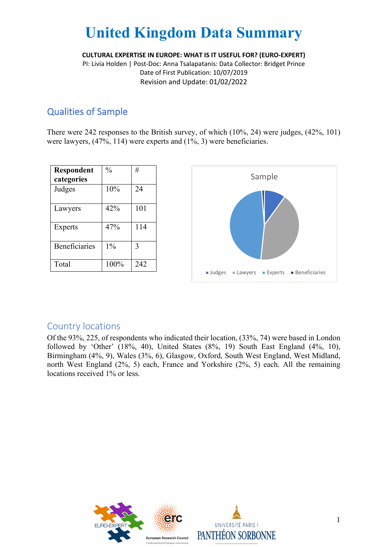**CULTURAL EXPERTISE IN EUROPE: WHAT IS IT USEFUL FOR? (EURO-EXPERT)**

PI: Livia Holden | Post-Doc: Anna Tsalapatanis: Data Collector: Bridget Prince Date of First Publication: 10/07/2019 Revision and Update: 01/02/2022

### Qualities of Sample

There were 242 responses to the British survey, of which (10%, 24) were judges, (42%, 101) were lawyers, (47%, 114) were experts and (1%, 3) were beneficiaries.

| Respondent           | $\frac{0}{0}$ | #   |
|----------------------|---------------|-----|
| categories           |               |     |
| Judges               | 10%           | 24  |
| Lawyers              | 42%           | 101 |
| <b>Experts</b>       | 47%           | 114 |
| <b>Beneficiaries</b> | 1%            | 3   |
| Total                | 100%          | 242 |



#### Country locations

Of the 93%, 225, of respondents who indicated their location, (33%, 74) were based in London followed by 'Other' (18%, 40), United States (8%, 19) South East England (4%, 10), Birmingham (4%, 9), Wales (3%, 6), Glasgow, Oxford, South West England, West Midland, north West England (2%, 5) each, France and Yorkshire (2%, 5) each. All the remaining locations received 1% or less.

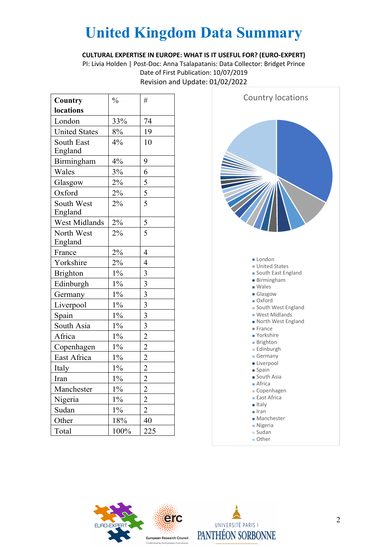**CULTURAL EXPERTISE IN EUROPE: WHAT IS IT USEFUL FOR? (EURO-EXPERT)**

PI: Livia Holden | Post-Doc: Anna Tsalapatanis: Data Collector: Bridget Prince Date of First Publication: 10/07/2019 Revision and Update: 01/02/2022

| Country              | $\frac{0}{0}$ | #                       |
|----------------------|---------------|-------------------------|
| locations            |               |                         |
| London               | 33%           | 74                      |
| <b>United States</b> | 8%            | 19                      |
| <b>South East</b>    | 4%            | 10                      |
| England              |               |                         |
| Birmingham           | 4%            | 9                       |
| Wales                | 3%            | 6                       |
| Glasgow              | 2%            | $\overline{\mathbf{5}}$ |
| Oxford               | 2%            | 5                       |
| South West           | 2%            | 5                       |
| England              |               |                         |
| West Midlands        | 2%            | 5                       |
| North West           | 2%            | 5                       |
| England              |               |                         |
| France               | 2%            | 4                       |
| Yorkshire            | 2%            | $\overline{4}$          |
| <b>Brighton</b>      | $1\%$         | 3                       |
| Edinburgh            | $1\%$         | 3                       |
| Germany              | $1\%$         | 3                       |
| Liverpool            | $1\%$         | $\overline{\mathbf{3}}$ |
| Spain                | $1\%$         | 3                       |
| South Asia           | $1\%$         | $\overline{3}$          |
| Africa               | $1\%$         | $\overline{c}$          |
| Copenhagen           | $1\%$         | $\overline{c}$          |
| East Africa          | $1\%$         | $\overline{c}$          |
| Italy                | $1\%$         | $\overline{c}$          |
| Iran                 | $1\%$         | $\overline{2}$          |
| Manchester           | $1\%$         | $\overline{c}$          |
| Nigeria              | $1\%$         | $\overline{c}$          |
| Sudan                | $1\%$         | $\overline{c}$          |
| Other                | 18%           | 40                      |
| Total                | 100%          | 225                     |





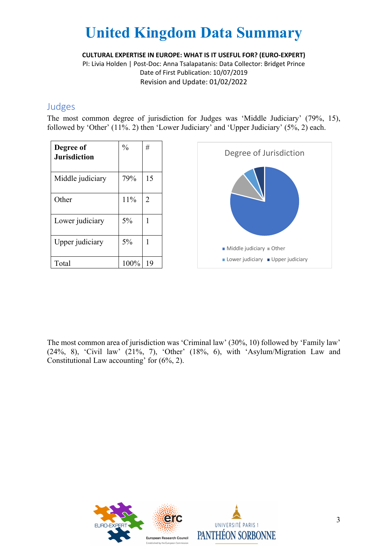**CULTURAL EXPERTISE IN EUROPE: WHAT IS IT USEFUL FOR? (EURO-EXPERT)**

PI: Livia Holden | Post-Doc: Anna Tsalapatanis: Data Collector: Bridget Prince Date of First Publication: 10/07/2019 Revision and Update: 01/02/2022

#### Judges

The most common degree of jurisdiction for Judges was 'Middle Judiciary' (79%, 15), followed by 'Other' (11%. 2) then 'Lower Judiciary' and 'Upper Judiciary' (5%, 2) each.

| Degree of<br><b>Jurisdiction</b> | $\frac{0}{0}$ | #  |
|----------------------------------|---------------|----|
| Middle judiciary                 | 79%           | 15 |
| Other                            | 11%           | 2  |
| Lower judiciary                  | 5%            | 1  |
| Upper judiciary                  | 5%            | 1  |
| Total                            | 100%          | 19 |



The most common area of jurisdiction was 'Criminal law' (30%, 10) followed by 'Family law' (24%, 8), 'Civil law' (21%, 7), 'Other' (18%, 6), with 'Asylum/Migration Law and Constitutional Law accounting' for (6%, 2).

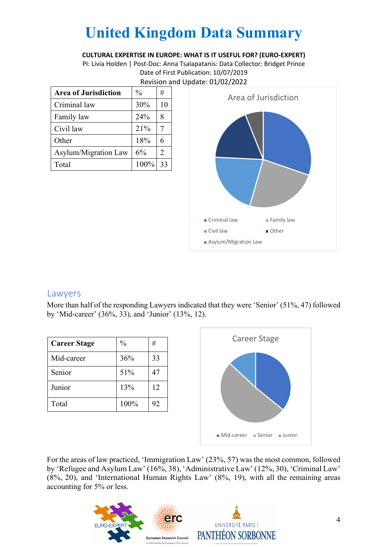#### **CULTURAL EXPERTISE IN EUROPE: WHAT IS IT USEFUL FOR? (EURO-EXPERT)**

PI: Livia Holden | Post-Doc: Anna Tsalapatanis: Data Collector: Bridget Prince Date of First Publication: 10/07/2019 Revision and Update: 01/02/2022

| <b>Area of Jurisdiction</b> | $\frac{0}{0}$ | #  |
|-----------------------------|---------------|----|
| Criminal law                | 30%           | 10 |
| Family law                  | 24%           | 8  |
| Civil law                   | 21%           |    |
| Other                       | 18%           | 6  |
| Asylum/Migration Law        | 6%            | 2  |
| Total                       | 100%          | 33 |



#### Lawyers

More than half of the responding Lawyers indicated that they were 'Senior' (51%, 47) followed by 'Mid-career' (36%, 33), and 'Junior' (13%, 12).

| <b>Career Stage</b> | $\frac{0}{0}$ | #  |
|---------------------|---------------|----|
| Mid-career          | 36%           | 33 |
| Senior              | 51%           | 47 |
| Junior              | 13%           | 12 |
| Total               | 100%          | 92 |



For the areas of law practiced, 'Immigration Law' (23%, 57) was the most common, followed by 'Refugee and Asylum Law' (16%, 38), 'Administrative Law' (12%, 30), 'Criminal Law' (8%, 20), and 'International Human Rights Law' (8%, 19), with all the remaining areas accounting for 5% or less.

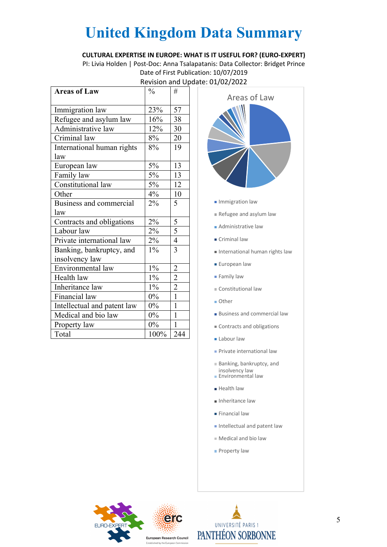#### **CULTURAL EXPERTISE IN EUROPE: WHAT IS IT USEFUL FOR? (EURO-EXPERT)**

PI: Livia Holden | Post-Doc: Anna Tsalapatanis: Data Collector: Bridget Prince Date of First Publication: 10/07/2019 Revision and Update: 01/02/2022

| <b>Areas of Law</b>         | $\frac{0}{0}$ | #              |
|-----------------------------|---------------|----------------|
|                             |               |                |
| Immigration law             | 23%           | 57             |
| Refugee and asylum law      | 16%           | 38             |
| Administrative law          | 12%           | 30             |
| Criminal law                | 8%            | 20             |
| International human rights  | 8%            | 19             |
| law                         |               |                |
| European law                | 5%            | 13             |
| Family law                  | 5%            | 13             |
| Constitutional law          | 5%            | 12             |
| Other                       | 4%            | 10             |
| Business and commercial     | 2%            | 5              |
| law                         |               |                |
| Contracts and obligations   | 2%            | 5              |
| Labour law                  | $2\%$         | 5              |
| Private international law   | 2%            | $\overline{4}$ |
| Banking, bankruptcy, and    | $1\%$         | 3              |
| insolvency law              |               |                |
| Environmental law           | $1\%$         | $\overline{2}$ |
| Health law                  | $1\%$         | $\overline{2}$ |
| Inheritance law             | $1\%$         | $\overline{c}$ |
| Financial law               | $0\%$         | $\mathbf{1}$   |
| Intellectual and patent law | $0\%$         | 1              |
| Medical and bio law         | $0\%$         | $\mathbf{1}$   |
| Property law                | $0\%$         | 1              |
| Total                       | 100%          | 244            |



- **Immigration law**
- Refugee and asylum law
- Administrative law
- Criminal law
- International human rights law
- **European law**
- **Family law**
- Constitutional law
- Other
- Business and commercial law
- Contracts and obligations
- **Labour law**
- **Private international law**
- Banking, bankruptcy, and insolvency law
- Environmental law
- **Health law**
- Inheritance law
- **Financial law**
- Intellectual and patent law
- Medical and bio law
- **Property law**



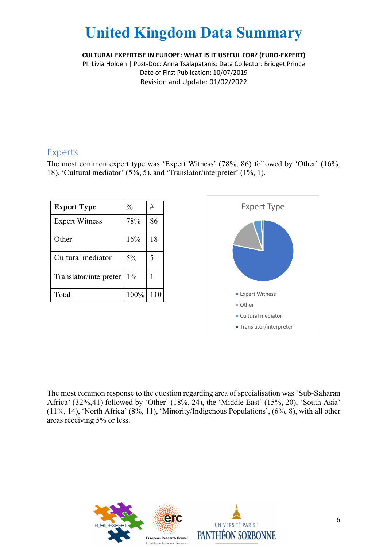**CULTURAL EXPERTISE IN EUROPE: WHAT IS IT USEFUL FOR? (EURO-EXPERT)**

PI: Livia Holden | Post-Doc: Anna Tsalapatanis: Data Collector: Bridget Prince Date of First Publication: 10/07/2019 Revision and Update: 01/02/2022

#### Experts

The most common expert type was 'Expert Witness' (78%, 86) followed by 'Other' (16%, 18), 'Cultural mediator' (5%, 5), and 'Translator/interpreter' (1%, 1).

| <b>Expert Type</b>     | $\frac{0}{0}$ | #  |
|------------------------|---------------|----|
| <b>Expert Witness</b>  | 78%           | 86 |
| Other                  | 16%           | 18 |
| Cultural mediator      | $5\%$         | 5  |
| Translator/interpreter | $1\%$         |    |
| Total                  | 100%          |    |



The most common response to the question regarding area of specialisation was 'Sub-Saharan Africa' (32%,41) followed by 'Other' (18%, 24), the 'Middle East' (15%, 20), 'South Asia' (11%, 14), 'North Africa' (8%, 11), 'Minority/Indigenous Populations', (6%, 8), with all other areas receiving 5% or less.

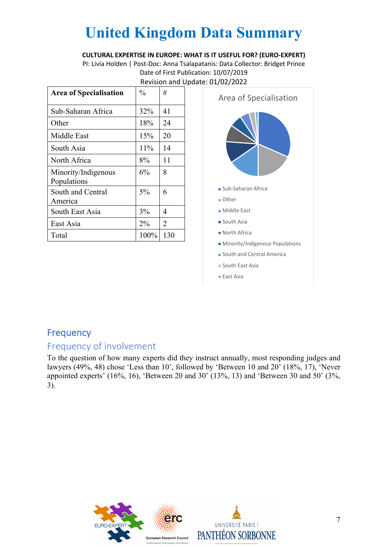#### **CULTURAL EXPERTISE IN EUROPE: WHAT IS IT USEFUL FOR? (EURO-EXPERT)**

PI: Livia Holden | Post-Doc: Anna Tsalapatanis: Data Collector: Bridget Prince Date of First Publication: 10/07/2019 Revision and Update: 01/02/2022

| <b>Area of Specialisation</b>      | $\frac{0}{0}$ | #              |
|------------------------------------|---------------|----------------|
| Sub-Saharan Africa                 | 32%           | 41             |
| Other                              | 18%           | 24             |
| Middle East                        | 15%           | 20             |
| South Asia                         | 11%           | 14             |
| North Africa                       | 8%            | 11             |
| Minority/Indigenous<br>Populations | 6%            | 8              |
| South and Central<br>America       | $5\%$         | 6              |
| South East Asia                    | 3%            | 4              |
| East Asia                          | $2\%$         | $\overline{2}$ |
| Total                              | 100%          | 130            |



### Frequency

### Frequency of involvement

To the question of how many experts did they instruct annually, most responding judges and lawyers (49%, 48) chose 'Less than 10', followed by 'Between 10 and 20' (18%, 17), 'Never appointed experts' (16%, 16), 'Between 20 and 30' (13%, 13) and 'Between 30 and 50' (3%, 3).

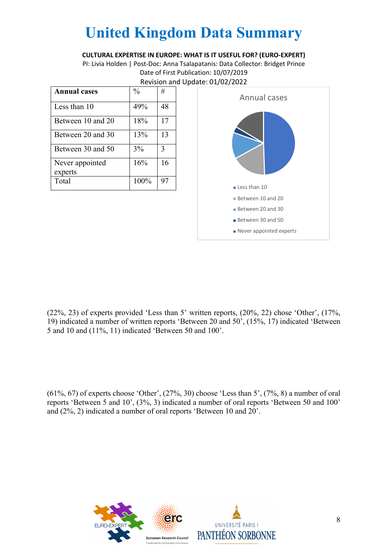#### **CULTURAL EXPERTISE IN EUROPE: WHAT IS IT USEFUL FOR? (EURO-EXPERT)**

PI: Livia Holden | Post-Doc: Anna Tsalapatanis: Data Collector: Bridget Prince Date of First Publication: 10/07/2019 Revision and Update: 01/02/2022

| <b>Annual cases</b> | $\frac{0}{0}$ | #  |
|---------------------|---------------|----|
| Less than 10        | 49%           | 48 |
| Between 10 and 20   | 18%           | 17 |
| Between 20 and 30   | 13%           | 13 |
| Between 30 and 50   | 3%            | 3  |
| Never appointed     | 16%           | 16 |
| experts             |               |    |
| Total               | 100%          | 97 |



(22%, 23) of experts provided 'Less than 5' written reports, (20%, 22) chose 'Other', (17%, 19) indicated a number of written reports 'Between 20 and 50', (15%, 17) indicated 'Between 5 and 10 and (11%, 11) indicated 'Between 50 and 100'.

 $(61\%, 67)$  of experts choose 'Other',  $(27\%, 30)$  choose 'Less than 5',  $(7\%, 8)$  a number of oral reports 'Between 5 and 10', (3%, 3) indicated a number of oral reports 'Between 50 and 100' and (2%, 2) indicated a number of oral reports 'Between 10 and 20'.

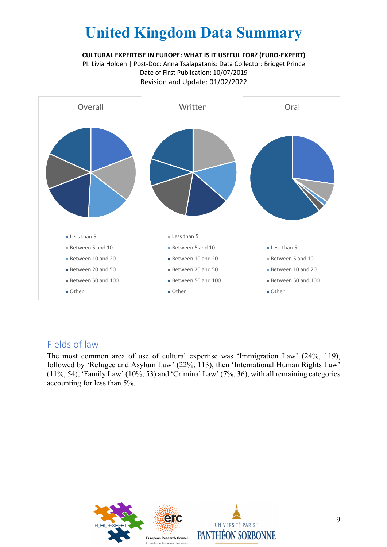**CULTURAL EXPERTISE IN EUROPE: WHAT IS IT USEFUL FOR? (EURO-EXPERT)**

PI: Livia Holden | Post-Doc: Anna Tsalapatanis: Data Collector: Bridget Prince Date of First Publication: 10/07/2019 Revision and Update: 01/02/2022



### Fields of law

The most common area of use of cultural expertise was 'Immigration Law' (24%, 119), followed by 'Refugee and Asylum Law' (22%, 113), then 'International Human Rights Law' (11%, 54), 'Family Law' (10%, 53) and 'Criminal Law' (7%, 36), with all remaining categories accounting for less than 5%.



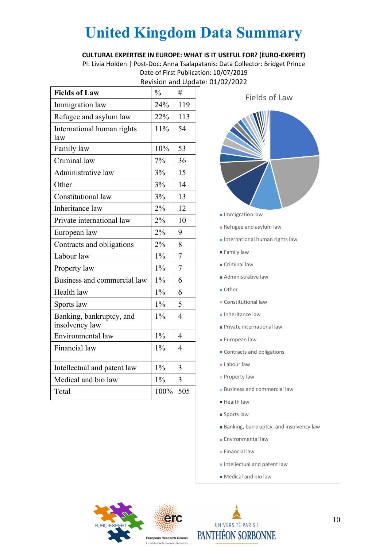#### **CULTURAL EXPERTISE IN EUROPE: WHAT IS IT USEFUL FOR? (EURO-EXPERT)**

PI: Livia Holden | Post-Doc: Anna Tsalapatanis: Data Collector: Bridget Prince Date of First Publication: 10/07/2019 Revision and Update: 01/02/2022

| <b>Fields of Law</b>                       | $\frac{0}{0}$ | #              |
|--------------------------------------------|---------------|----------------|
| Immigration law                            | 24%           | 119            |
| Refugee and asylum law                     | 22%           | 113            |
| International human rights<br>law          | 11%           | 54             |
| Family law                                 | 10%           | 53             |
| Criminal law                               | 7%            | 36             |
| Administrative law                         | 3%            | 15             |
| Other                                      | 3%            | 14             |
| Constitutional law                         | 3%            | 13             |
| Inheritance law                            | 2%            | 12             |
| Private international law                  | 2%            | 10             |
| European law                               | 2%            | 9              |
| Contracts and obligations                  | 2%            | 8              |
| Labour law                                 | $1\%$         | $\overline{7}$ |
| Property law                               | $1\%$         | 7              |
| Business and commercial law                | $1\%$         | 6              |
| Health law                                 | $1\%$         | 6              |
| Sports law                                 | $1\%$         | 5              |
| Banking, bankruptcy, and<br>insolvency law | $1\%$         | 4              |
| Environmental law                          | $1\%$         | $\overline{4}$ |
| Financial law                              | $1\%$         | 4              |
| Intellectual and patent law                | $1\%$         | 3              |
| Medical and bio law                        | $1\%$         | 3              |
| Total                                      | 100%          | 505            |



- Refugee and asylum law
- **International human rights law**
- **Family law**
- Criminal law
- **Administrative law**
- Other
- Constitutional law
- **Inheritance law**
- **Private international law**
- **European law**
- Contracts and obligations
- **Labour law**
- Property law
- **Business and commercial law**
- Health law
- **Sports law**
- **Banking, bankruptcy, and insolvency law**
- **Environmental law**
- $F$  Financial law
- Intellectual and patent law
- Medical and bio law



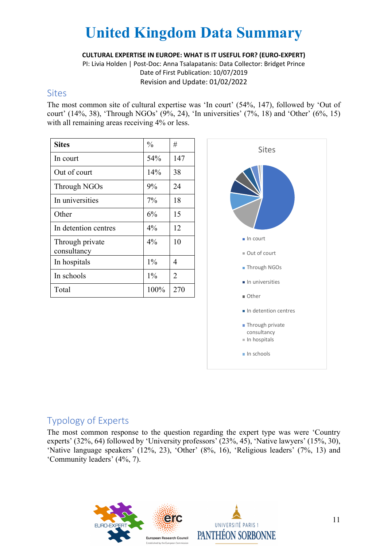**CULTURAL EXPERTISE IN EUROPE: WHAT IS IT USEFUL FOR? (EURO-EXPERT)**

PI: Livia Holden | Post-Doc: Anna Tsalapatanis: Data Collector: Bridget Prince Date of First Publication: 10/07/2019 Revision and Update: 01/02/2022

#### **Sites**

The most common site of cultural expertise was 'In court' (54%, 147), followed by 'Out of court' (14%, 38), 'Through NGOs' (9%, 24), 'In universities' (7%, 18) and 'Other' (6%, 15) with all remaining areas receiving 4% or less.

| <b>Sites</b>                   | $\frac{0}{0}$ | #   |
|--------------------------------|---------------|-----|
| In court                       | 54%           | 147 |
| Out of court                   | 14%           | 38  |
| Through NGOs                   | 9%            | 24  |
| In universities                | $7\%$         | 18  |
| Other                          | 6%            | 15  |
| In detention centres           | $4\%$         | 12  |
| Through private<br>consultancy | $4\%$         | 10  |
| In hospitals                   | $1\%$         | 4   |
| In schools                     | $1\%$         | 2   |
| Total                          | 100%          | 270 |



### Typology of Experts

The most common response to the question regarding the expert type was were 'Country experts' (32%, 64) followed by 'University professors' (23%, 45), 'Native lawyers' (15%, 30), 'Native language speakers' (12%, 23), 'Other' (8%, 16), 'Religious leaders' (7%, 13) and 'Community leaders' (4%, 7).



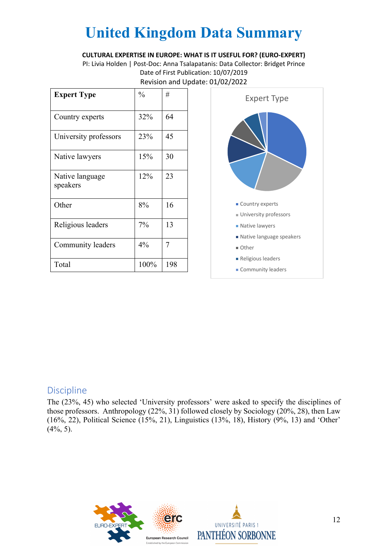#### **CULTURAL EXPERTISE IN EUROPE: WHAT IS IT USEFUL FOR? (EURO-EXPERT)**

PI: Livia Holden | Post-Doc: Anna Tsalapatanis: Data Collector: Bridget Prince Date of First Publication: 10/07/2019 Revision and Update: 01/02/2022

| <b>Expert Type</b>          | $\frac{0}{0}$ | #   |
|-----------------------------|---------------|-----|
| Country experts             | 32%           | 64  |
| University professors       | 23%           | 45  |
| Native lawyers              | 15%           | 30  |
| Native language<br>speakers | 12%           | 23  |
| Other                       | 8%            | 16  |
| Religious leaders           | 7%            | 13  |
| Community leaders           | $4\%$         | 7   |
| Total                       | 100%          | 198 |



### **Discipline**

The (23%, 45) who selected 'University professors' were asked to specify the disciplines of those professors. Anthropology (22%, 31) followed closely by Sociology (20%, 28), then Law (16%, 22), Political Science (15%, 21), Linguistics (13%, 18), History (9%, 13) and 'Other'  $(4\%, 5)$ .



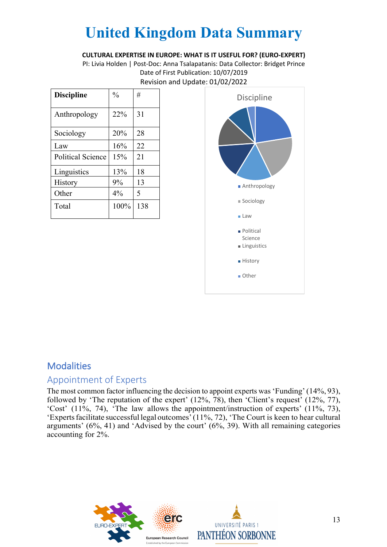**CULTURAL EXPERTISE IN EUROPE: WHAT IS IT USEFUL FOR? (EURO-EXPERT)**

PI: Livia Holden | Post-Doc: Anna Tsalapatanis: Data Collector: Bridget Prince Date of First Publication: 10/07/2019 Revision and Update: 01/02/2022

| <b>Discipline</b>        | $\frac{0}{0}$ | #   |
|--------------------------|---------------|-----|
| Anthropology             | 22%           | 31  |
| Sociology                | 20%           | 28  |
| Law                      | 16%           | 22  |
| <b>Political Science</b> | 15%           | 21  |
| Linguistics              | 13%           | 18  |
| History                  | 9%            | 13  |
| Other                    | 4%            | 5   |
| Total                    | 100%          | 138 |



### **Modalities**

### Appointment of Experts

The most common factor influencing the decision to appoint experts was 'Funding'(14%, 93), followed by 'The reputation of the expert' (12%, 78), then 'Client's request' (12%, 77), 'Cost' (11%, 74), 'The law allows the appointment/instruction of experts' (11%, 73), 'Experts facilitate successful legal outcomes'  $(11\%, 72)$ , 'The Court is keen to hear cultural arguments' (6%, 41) and 'Advised by the court' (6%, 39). With all remaining categories accounting for 2%.

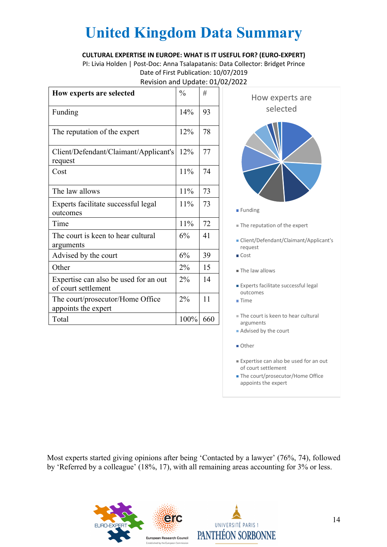#### **CULTURAL EXPERTISE IN EUROPE: WHAT IS IT USEFUL FOR? (EURO-EXPERT)**

PI: Livia Holden | Post-Doc: Anna Tsalapatanis: Data Collector: Bridget Prince Date of First Publication: 10/07/2019 Revision and Update: 01/02/2022

| How experts are selected                                     | $\frac{0}{0}$ | #   |
|--------------------------------------------------------------|---------------|-----|
| Funding                                                      | 14%           | 93  |
| The reputation of the expert                                 | 12%           | 78  |
| Client/Defendant/Claimant/Applicant's<br>request             | 12%           | 77  |
| Cost                                                         | 11%           | 74  |
| The law allows                                               | 11%           | 73  |
| Experts facilitate successful legal<br>outcomes              | 11%           | 73  |
| Time                                                         | 11%           | 72  |
| The court is keen to hear cultural<br>arguments              | 6%            | 41  |
| Advised by the court                                         | 6%            | 39  |
| Other                                                        | $2\%$         | 15  |
| Expertise can also be used for an out<br>of court settlement | $2\%$         | 14  |
| The court/prosecutor/Home Office<br>appoints the expert      | 2%            | 11  |
| Total                                                        | 100%          | 660 |



- Client/Defendant/Claimant/Applicant's request
- Cost
- The law allows
- Experts facilitate successful legal outcomes
- Time
- The court is keen to hear cultural arguments
- Advised by the court
- Other
- Expertise can also be used for an out of court settlement
- **The court/prosecutor/Home Office** appoints the expert

Most experts started giving opinions after being 'Contacted by a lawyer' (76%, 74), followed by 'Referred by a colleague' (18%, 17), with all remaining areas accounting for 3% or less.



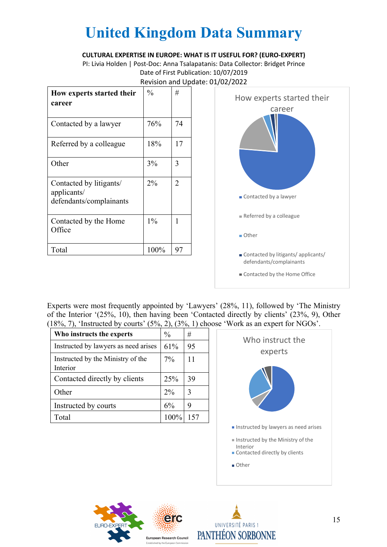#### **CULTURAL EXPERTISE IN EUROPE: WHAT IS IT USEFUL FOR? (EURO-EXPERT)**

PI: Livia Holden | Post-Doc: Anna Tsalapatanis: Data Collector: Bridget Prince Date of First Publication: 10/07/2019 Revision and Update: 01/02/2022

| How experts started their<br>career                               | $\frac{0}{0}$ | #  |
|-------------------------------------------------------------------|---------------|----|
| Contacted by a lawyer                                             | 76%           | 74 |
| Referred by a colleague                                           | 18%           | 17 |
| Other                                                             | 3%            | 3  |
| Contacted by litigants/<br>applicants/<br>defendants/complainants | $2\%$         | 2  |
| Contacted by the Home<br>Office                                   | $1\%$         | 1  |
| Total                                                             | 100%          | 97 |



Experts were most frequently appointed by 'Lawyers' (28%, 11), followed by 'The Ministry of the Interior '(25%, 10), then having been 'Contacted directly by clients' (23%, 9), Other (18%, 7), 'Instructed by courts' (5%, 2), (3%, 1) choose 'Work as an expert for NGOs'.

| Who instructs the experts                     | $\frac{0}{0}$ | #   |
|-----------------------------------------------|---------------|-----|
| Instructed by lawyers as need arises          | 61%           | 95  |
| Instructed by the Ministry of the<br>Interior | $7\%$         | 11  |
| Contacted directly by clients                 | 25%           | 39  |
| Other                                         | $2\%$         | 3   |
| Instructed by courts                          | 6%            | 9   |
| Total                                         | 100%          | 157 |





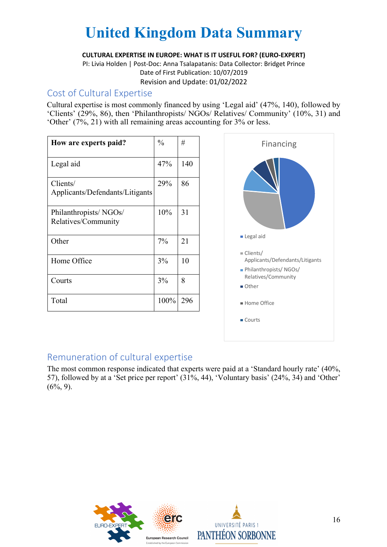**CULTURAL EXPERTISE IN EUROPE: WHAT IS IT USEFUL FOR? (EURO-EXPERT)**

PI: Livia Holden | Post-Doc: Anna Tsalapatanis: Data Collector: Bridget Prince Date of First Publication: 10/07/2019 Revision and Update: 01/02/2022

#### Cost of Cultural Expertise

Cultural expertise is most commonly financed by using 'Legal aid' (47%, 140), followed by 'Clients' (29%, 86), then 'Philanthropists/ NGOs/ Relatives/ Community' (10%, 31) and 'Other' (7%, 21) with all remaining areas accounting for 3% or less.

| How are experts paid?                        | $\frac{0}{0}$ | #   |
|----------------------------------------------|---------------|-----|
| Legal aid                                    | 47%           | 140 |
| Clients/<br>Applicants/Defendants/Litigants  | 29%           | 86  |
| Philanthropists/NGOs/<br>Relatives/Community | 10%           | 31  |
| Other                                        | $7\%$         | 21  |
| Home Office                                  | 3%            | 10  |
| Courts                                       | 3%            | 8   |
| Total                                        | 100%          | 296 |



### Remuneration of cultural expertise

The most common response indicated that experts were paid at a 'Standard hourly rate' (40%, 57), followed by at a 'Set price per report' (31%, 44), 'Voluntary basis' (24%, 34) and 'Other'  $(6\%, 9)$ .



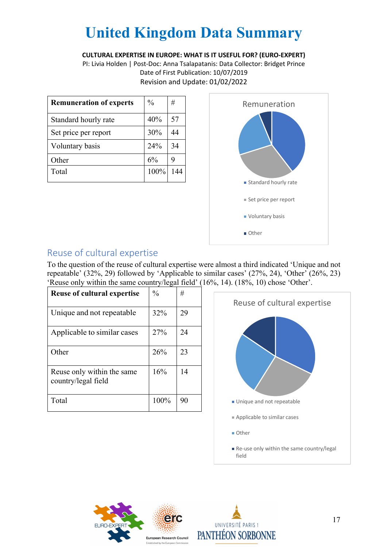#### **CULTURAL EXPERTISE IN EUROPE: WHAT IS IT USEFUL FOR? (EURO-EXPERT)**

PI: Livia Holden | Post-Doc: Anna Tsalapatanis: Data Collector: Bridget Prince Date of First Publication: 10/07/2019 Revision and Update: 01/02/2022

| <b>Remuneration of experts</b> | $\frac{0}{0}$ | #   |
|--------------------------------|---------------|-----|
| Standard hourly rate           | 40%           | 57  |
| Set price per report           | 30%           | 44  |
| Voluntary basis                | 24%           | 34  |
| Other                          | 6%            | 9   |
| Total                          | 100%          | 144 |



## Reuse of cultural expertise

To the question of the reuse of cultural expertise were almost a third indicated 'Unique and not repeatable' (32%, 29) followed by 'Applicable to similar cases' (27%, 24), 'Other' (26%, 23) 'Reuse only within the same country/legal field' (16%, 14). (18%, 10) chose 'Other'.

| <b>Reuse of cultural expertise</b>                | $\frac{0}{0}$ | #  |
|---------------------------------------------------|---------------|----|
| Unique and not repeatable                         | 32%           | 29 |
| Applicable to similar cases                       | 27%           | 24 |
| Other                                             | 26%           | 23 |
| Reuse only within the same<br>country/legal field | 16%           | 14 |
| Total                                             | 100%          | 90 |





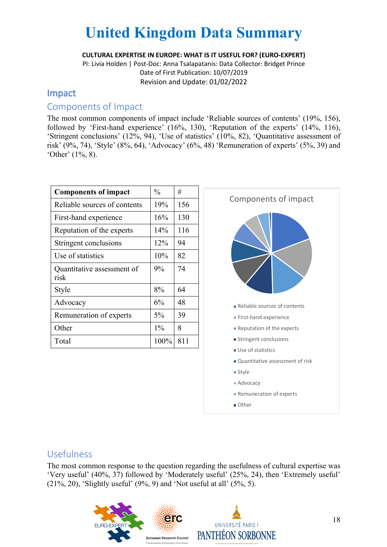**CULTURAL EXPERTISE IN EUROPE: WHAT IS IT USEFUL FOR? (EURO-EXPERT)**

PI: Livia Holden | Post-Doc: Anna Tsalapatanis: Data Collector: Bridget Prince Date of First Publication: 10/07/2019 Revision and Update: 01/02/2022

#### Impact

#### Components of Impact

The most common components of impact include 'Reliable sources of contents' (19%, 156), followed by 'First-hand experience' (16%, 130), 'Reputation of the experts' (14%, 116), 'Stringent conclusions' (12%, 94), 'Use of statistics' (10%, 82), 'Quantitative assessment of risk' (9%, 74), 'Style' (8%, 64), 'Advocacy' (6%, 48) 'Remuneration of experts' (5%, 39) and 'Other' (1%, 8).

| <b>Components of impact</b>        | $\frac{0}{0}$ | #   |
|------------------------------------|---------------|-----|
| Reliable sources of contents       | 19%           | 156 |
| First-hand experience              | 16%           | 130 |
| Reputation of the experts          | 14%           | 116 |
| Stringent conclusions              | 12%           | 94  |
| Use of statistics                  | 10%           | 82  |
| Quantitative assessment of<br>risk | 9%            | 74  |
| Style                              | 8%            | 64  |
| Advocacy                           | 6%            | 48  |
| Remuneration of experts            | $5\%$         | 39  |
| Other                              | $1\%$         | 8   |
| Total                              | 100%          | 811 |



#### Usefulness

The most common response to the question regarding the usefulness of cultural expertise was 'Very useful' (40%, 37) followed by 'Moderately useful' (25%, 24), then 'Extremely useful' (21%, 20), 'Slightly useful' (9%, 9) and 'Not useful at all' (5%, 5).

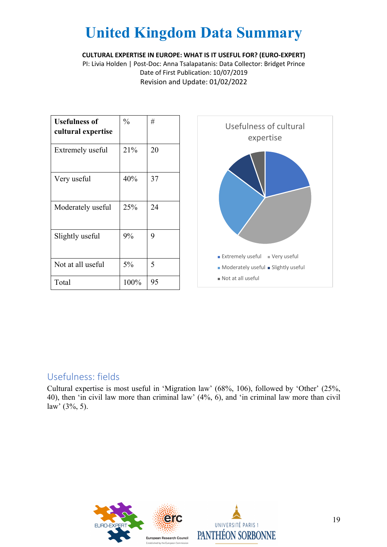**CULTURAL EXPERTISE IN EUROPE: WHAT IS IT USEFUL FOR? (EURO-EXPERT)**

PI: Livia Holden | Post-Doc: Anna Tsalapatanis: Data Collector: Bridget Prince Date of First Publication: 10/07/2019 Revision and Update: 01/02/2022

| Usefulness of<br>cultural expertise | $\frac{0}{0}$ | #  |
|-------------------------------------|---------------|----|
| Extremely useful                    | 21%           | 20 |
| Very useful                         | 40%           | 37 |
| Moderately useful                   | 25%           | 24 |
| Slightly useful                     | 9%            | 9  |
| Not at all useful                   | 5%            | 5  |
| Total                               | 100%          | 95 |



### Usefulness: fields

Cultural expertise is most useful in 'Migration law' (68%, 106), followed by 'Other' (25%, 40), then 'in civil law more than criminal law' (4%, 6), and 'in criminal law more than civil law' (3%, 5).

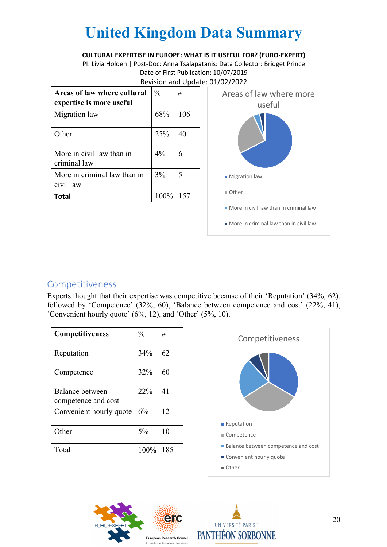#### **CULTURAL EXPERTISE IN EUROPE: WHAT IS IT USEFUL FOR? (EURO-EXPERT)**

PI: Livia Holden | Post-Doc: Anna Tsalapatanis: Data Collector: Bridget Prince Date of First Publication: 10/07/2019 Revision and Update: 01/02/2022

| Areas of law where cultural<br>expertise is more useful | $\frac{0}{0}$ | #   |
|---------------------------------------------------------|---------------|-----|
| Migration law                                           | 68%           | 106 |
| Other                                                   | 25%           | 40  |
| More in civil law than in<br>criminal law               | $4\%$         |     |
| More in criminal law than in<br>civil law               | 3%            | 5   |
| Total                                                   | 100%          |     |



### Competitiveness

Experts thought that their expertise was competitive because of their 'Reputation' (34%, 62), followed by 'Competence' (32%, 60), 'Balance between competence and cost' (22%, 41), 'Convenient hourly quote' (6%, 12), and 'Other' (5%, 10).

| <b>Competitiveness</b>                 | $\frac{0}{0}$ | #   |
|----------------------------------------|---------------|-----|
| Reputation                             | 34%           | 62  |
| Competence                             | 32%           | 60  |
| Balance between<br>competence and cost | 22%           | 41  |
| Convenient hourly quote                | 6%            | 12  |
| Other                                  | 5%            | 10  |
| Total                                  | 100%          | 185 |





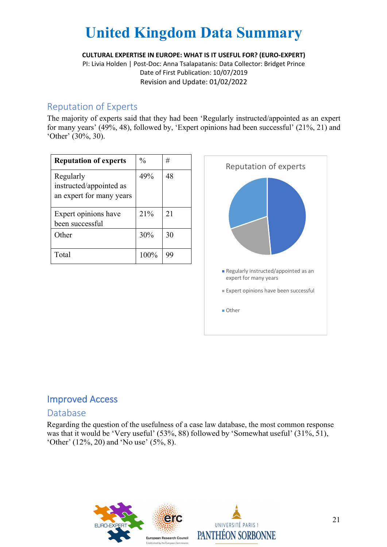**CULTURAL EXPERTISE IN EUROPE: WHAT IS IT USEFUL FOR? (EURO-EXPERT)**

PI: Livia Holden | Post-Doc: Anna Tsalapatanis: Data Collector: Bridget Prince Date of First Publication: 10/07/2019 Revision and Update: 01/02/2022

#### Reputation of Experts

The majority of experts said that they had been 'Regularly instructed/appointed as an expert for many years' (49%, 48), followed by, 'Expert opinions had been successful' (21%, 21) and 'Other' (30%, 30).

| <b>Reputation of experts</b>                                     | $\frac{0}{0}$ | #  |
|------------------------------------------------------------------|---------------|----|
| Regularly<br>instructed/appointed as<br>an expert for many years | 49%           | 48 |
| Expert opinions have<br>been successful                          | 21%           | 21 |
| Other                                                            | 30%           | 30 |
| Total                                                            | 100%          | 99 |



## Improved Access

#### Database

Regarding the question of the usefulness of a case law database, the most common response was that it would be 'Very useful' (53%, 88) followed by 'Somewhat useful' (31%, 51), 'Other' (12%, 20) and 'No use' (5%, 8).



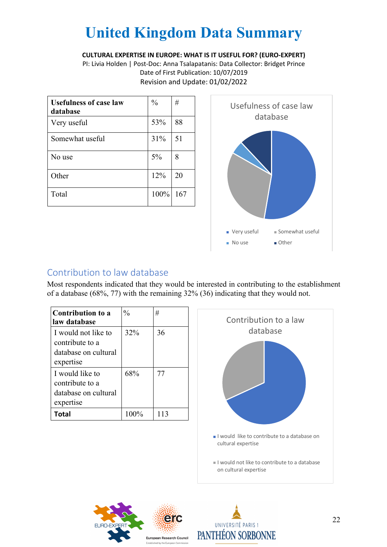#### **CULTURAL EXPERTISE IN EUROPE: WHAT IS IT USEFUL FOR? (EURO-EXPERT)**

PI: Livia Holden | Post-Doc: Anna Tsalapatanis: Data Collector: Bridget Prince Date of First Publication: 10/07/2019 Revision and Update: 01/02/2022

| <b>Usefulness of case law</b><br>database | $\frac{0}{0}$ | #   |
|-------------------------------------------|---------------|-----|
| Very useful                               | 53%           | 88  |
| Somewhat useful                           | 31%           | 51  |
| No use                                    | 5%            | 8   |
| Other                                     | 12%           | 20  |
| Total                                     | 100%          | 167 |



### Contribution to law database

Most respondents indicated that they would be interested in contributing to the establishment of a database (68%, 77) with the remaining 32% (36) indicating that they would not.

| <b>Contribution to a</b><br>law database                                    | $\frac{0}{0}$ | #   |
|-----------------------------------------------------------------------------|---------------|-----|
| I would not like to<br>contribute to a<br>database on cultural<br>expertise | 32%           | 36  |
| I would like to<br>contribute to a<br>database on cultural<br>expertise     | 68%           | 77  |
| Total                                                                       | $100\%$       | 113 |





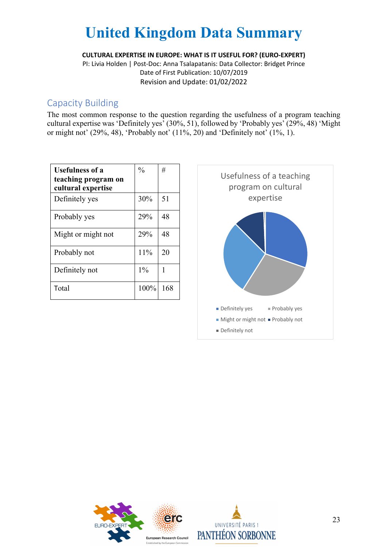**CULTURAL EXPERTISE IN EUROPE: WHAT IS IT USEFUL FOR? (EURO-EXPERT)**

PI: Livia Holden | Post-Doc: Anna Tsalapatanis: Data Collector: Bridget Prince Date of First Publication: 10/07/2019 Revision and Update: 01/02/2022

#### Capacity Building

The most common response to the question regarding the usefulness of a program teaching cultural expertise was 'Definitely yes' (30%, 51), followed by 'Probably yes' (29%, 48) 'Might or might not' (29%, 48), 'Probably not' (11%, 20) and 'Definitely not' (1%, 1).

| <b>Usefulness of a</b><br>teaching program on<br>cultural expertise | $\frac{0}{0}$ | #   |
|---------------------------------------------------------------------|---------------|-----|
| Definitely yes                                                      | 30%           | 51  |
| Probably yes                                                        | 29%           | 48  |
| Might or might not                                                  | 29%           | 48  |
| Probably not                                                        | 11%           | 20  |
| Definitely not                                                      | $1\%$         | 1   |
| Total                                                               | 100%          | 168 |